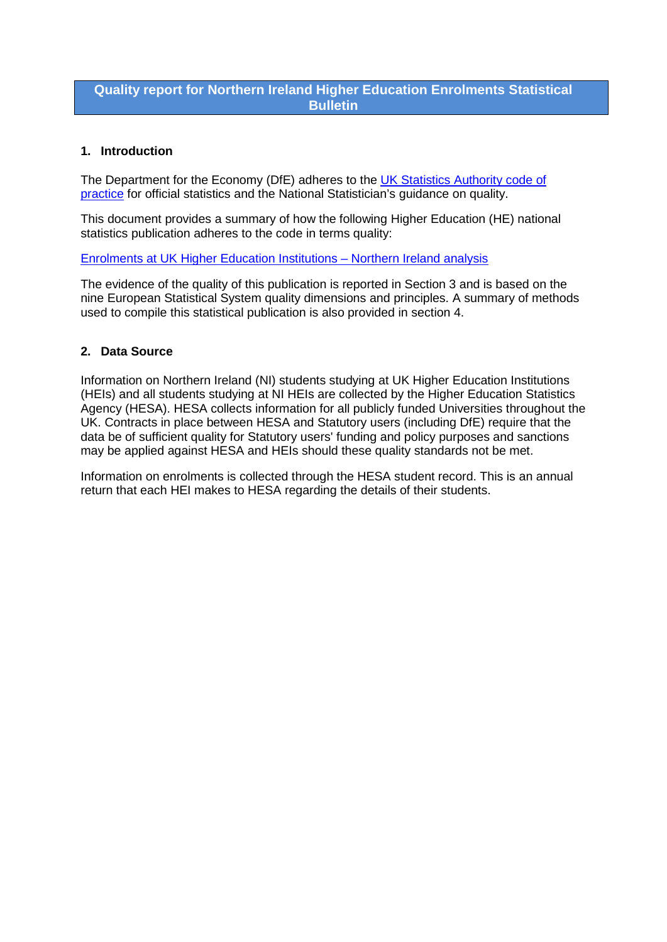## **Quality report for Northern Ireland Higher Education Enrolments Statistical Bulletin**

## **1. Introduction**

The Department for the Economy (DfE) adheres to the UK Statistics Authority code of [practice](http://www.statisticsauthority.gov.uk/assessment/code-of-practice/) for official statistics and the National Statistician's guidance on quality.

This document provides a summary of how the following Higher Education (HE) national statistics publication adheres to the code in terms quality:

[Enrolments at UK Higher Education Institutions –](https://www.economy-ni.gov.uk/articles/higher-education-enrolments) Northern Ireland analysis

The evidence of the quality of this publication is reported in Section 3 and is based on the nine European Statistical System quality dimensions and principles. A summary of methods used to compile this statistical publication is also provided in section 4.

## **2. Data Source**

Information on Northern Ireland (NI) students studying at UK Higher Education Institutions (HEIs) and all students studying at NI HEIs are collected by the Higher Education Statistics Agency (HESA). HESA collects information for all publicly funded Universities throughout the UK. Contracts in place between HESA and Statutory users (including DfE) require that the data be of sufficient quality for Statutory users' funding and policy purposes and sanctions may be applied against HESA and HEIs should these quality standards not be met.

Information on enrolments is collected through the HESA student record. This is an annual return that each HEI makes to HESA regarding the details of their students.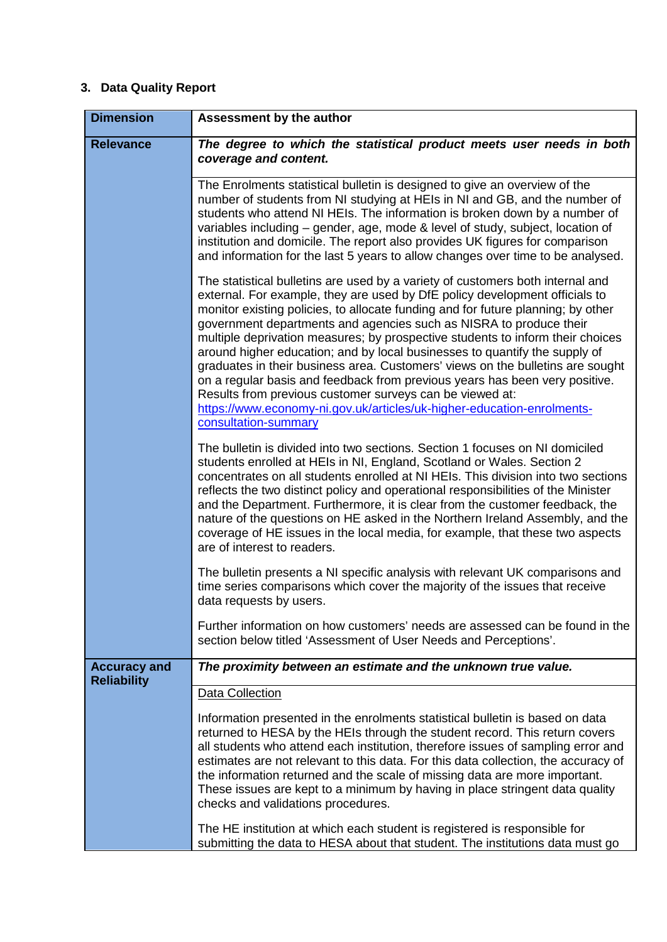# **3. Data Quality Report**

| <b>Dimension</b>                          | Assessment by the author                                                                                                                                                                                                                                                                                                                                                                                                                                                                                                                                                                                                                                                                                                                                                                                               |
|-------------------------------------------|------------------------------------------------------------------------------------------------------------------------------------------------------------------------------------------------------------------------------------------------------------------------------------------------------------------------------------------------------------------------------------------------------------------------------------------------------------------------------------------------------------------------------------------------------------------------------------------------------------------------------------------------------------------------------------------------------------------------------------------------------------------------------------------------------------------------|
| <b>Relevance</b>                          | The degree to which the statistical product meets user needs in both<br>coverage and content.                                                                                                                                                                                                                                                                                                                                                                                                                                                                                                                                                                                                                                                                                                                          |
|                                           | The Enrolments statistical bulletin is designed to give an overview of the<br>number of students from NI studying at HEIs in NI and GB, and the number of<br>students who attend NI HEIs. The information is broken down by a number of<br>variables including – gender, age, mode & level of study, subject, location of<br>institution and domicile. The report also provides UK figures for comparison<br>and information for the last 5 years to allow changes over time to be analysed.                                                                                                                                                                                                                                                                                                                           |
|                                           | The statistical bulletins are used by a variety of customers both internal and<br>external. For example, they are used by DfE policy development officials to<br>monitor existing policies, to allocate funding and for future planning; by other<br>government departments and agencies such as NISRA to produce their<br>multiple deprivation measures; by prospective students to inform their choices<br>around higher education; and by local businesses to quantify the supply of<br>graduates in their business area. Customers' views on the bulletins are sought<br>on a regular basis and feedback from previous years has been very positive.<br>Results from previous customer surveys can be viewed at:<br>https://www.economy-ni.gov.uk/articles/uk-higher-education-enrolments-<br>consultation-summary |
|                                           | The bulletin is divided into two sections. Section 1 focuses on NI domiciled<br>students enrolled at HEIs in NI, England, Scotland or Wales. Section 2<br>concentrates on all students enrolled at NI HEIs. This division into two sections<br>reflects the two distinct policy and operational responsibilities of the Minister<br>and the Department. Furthermore, it is clear from the customer feedback, the<br>nature of the questions on HE asked in the Northern Ireland Assembly, and the<br>coverage of HE issues in the local media, for example, that these two aspects<br>are of interest to readers.                                                                                                                                                                                                      |
|                                           | The bulletin presents a NI specific analysis with relevant UK comparisons and<br>time series comparisons which cover the majority of the issues that receive<br>data requests by users.                                                                                                                                                                                                                                                                                                                                                                                                                                                                                                                                                                                                                                |
|                                           | Further information on how customers' needs are assessed can be found in the<br>section below titled 'Assessment of User Needs and Perceptions'.                                                                                                                                                                                                                                                                                                                                                                                                                                                                                                                                                                                                                                                                       |
| <b>Accuracy and</b><br><b>Reliability</b> | The proximity between an estimate and the unknown true value.                                                                                                                                                                                                                                                                                                                                                                                                                                                                                                                                                                                                                                                                                                                                                          |
|                                           | Data Collection                                                                                                                                                                                                                                                                                                                                                                                                                                                                                                                                                                                                                                                                                                                                                                                                        |
|                                           | Information presented in the enrolments statistical bulletin is based on data<br>returned to HESA by the HEIs through the student record. This return covers<br>all students who attend each institution, therefore issues of sampling error and<br>estimates are not relevant to this data. For this data collection, the accuracy of<br>the information returned and the scale of missing data are more important.<br>These issues are kept to a minimum by having in place stringent data quality<br>checks and validations procedures.                                                                                                                                                                                                                                                                             |
|                                           | The HE institution at which each student is registered is responsible for<br>submitting the data to HESA about that student. The institutions data must go                                                                                                                                                                                                                                                                                                                                                                                                                                                                                                                                                                                                                                                             |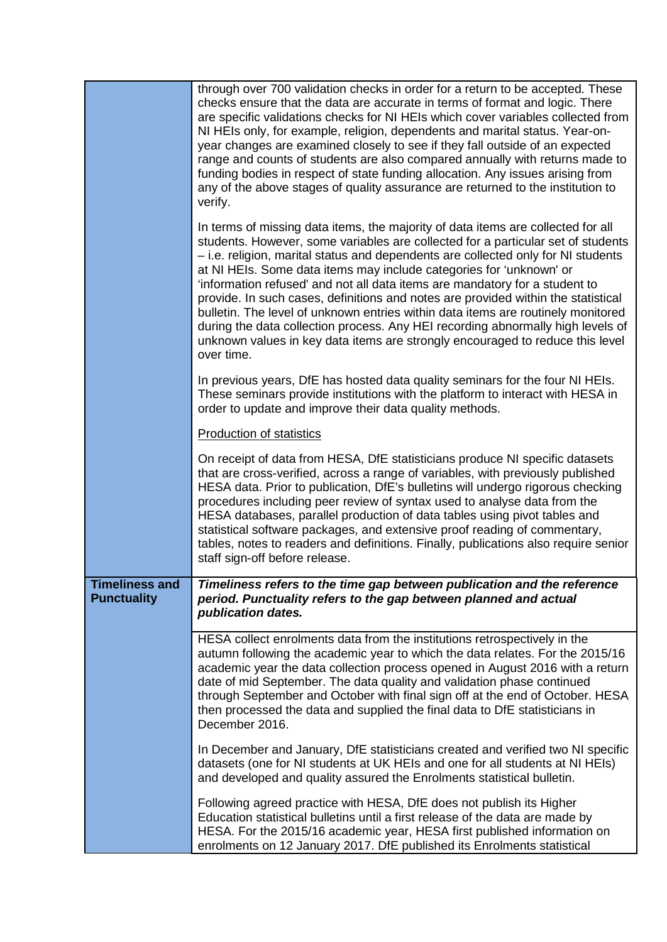|                                             | through over 700 validation checks in order for a return to be accepted. These<br>checks ensure that the data are accurate in terms of format and logic. There<br>are specific validations checks for NI HEIs which cover variables collected from<br>NI HEIs only, for example, religion, dependents and marital status. Year-on-<br>year changes are examined closely to see if they fall outside of an expected<br>range and counts of students are also compared annually with returns made to<br>funding bodies in respect of state funding allocation. Any issues arising from<br>any of the above stages of quality assurance are returned to the institution to<br>verify.                                                                                         |
|---------------------------------------------|----------------------------------------------------------------------------------------------------------------------------------------------------------------------------------------------------------------------------------------------------------------------------------------------------------------------------------------------------------------------------------------------------------------------------------------------------------------------------------------------------------------------------------------------------------------------------------------------------------------------------------------------------------------------------------------------------------------------------------------------------------------------------|
|                                             | In terms of missing data items, the majority of data items are collected for all<br>students. However, some variables are collected for a particular set of students<br>- i.e. religion, marital status and dependents are collected only for NI students<br>at NI HEIs. Some data items may include categories for 'unknown' or<br>'information refused' and not all data items are mandatory for a student to<br>provide. In such cases, definitions and notes are provided within the statistical<br>bulletin. The level of unknown entries within data items are routinely monitored<br>during the data collection process. Any HEI recording abnormally high levels of<br>unknown values in key data items are strongly encouraged to reduce this level<br>over time. |
|                                             | In previous years, DfE has hosted data quality seminars for the four NI HEIs.<br>These seminars provide institutions with the platform to interact with HESA in<br>order to update and improve their data quality methods.                                                                                                                                                                                                                                                                                                                                                                                                                                                                                                                                                 |
|                                             | <b>Production of statistics</b>                                                                                                                                                                                                                                                                                                                                                                                                                                                                                                                                                                                                                                                                                                                                            |
|                                             | On receipt of data from HESA, DfE statisticians produce NI specific datasets<br>that are cross-verified, across a range of variables, with previously published<br>HESA data. Prior to publication, DfE's bulletins will undergo rigorous checking<br>procedures including peer review of syntax used to analyse data from the<br>HESA databases, parallel production of data tables using pivot tables and<br>statistical software packages, and extensive proof reading of commentary,<br>tables, notes to readers and definitions. Finally, publications also require senior<br>staff sign-off before release.                                                                                                                                                          |
| <b>Timeliness and</b><br><b>Punctuality</b> | Timeliness refers to the time gap between publication and the reference<br>period. Punctuality refers to the gap between planned and actual<br>publication dates.                                                                                                                                                                                                                                                                                                                                                                                                                                                                                                                                                                                                          |
|                                             | HESA collect enrolments data from the institutions retrospectively in the<br>autumn following the academic year to which the data relates. For the 2015/16<br>academic year the data collection process opened in August 2016 with a return<br>date of mid September. The data quality and validation phase continued<br>through September and October with final sign off at the end of October. HESA<br>then processed the data and supplied the final data to DfE statisticians in<br>December 2016.                                                                                                                                                                                                                                                                    |
|                                             | In December and January, DfE statisticians created and verified two NI specific<br>datasets (one for NI students at UK HEIs and one for all students at NI HEIs)<br>and developed and quality assured the Enrolments statistical bulletin.                                                                                                                                                                                                                                                                                                                                                                                                                                                                                                                                 |
|                                             | Following agreed practice with HESA, DfE does not publish its Higher<br>Education statistical bulletins until a first release of the data are made by<br>HESA. For the 2015/16 academic year, HESA first published information on<br>enrolments on 12 January 2017. DfE published its Enrolments statistical                                                                                                                                                                                                                                                                                                                                                                                                                                                               |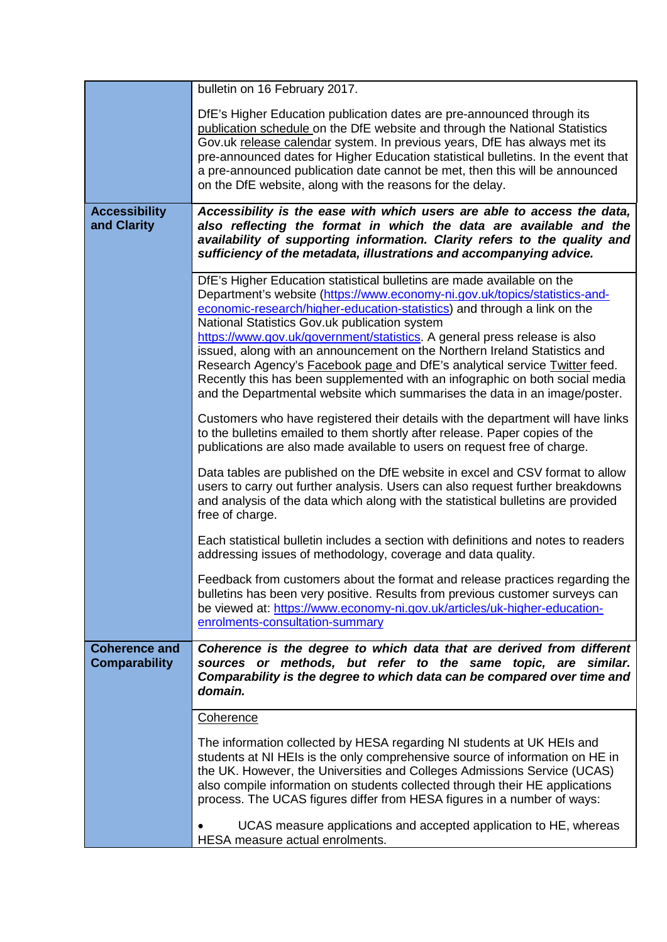|                                              | bulletin on 16 February 2017.                                                                                                                                                                                                                                                                                                                                                                                                                                                                                                                                                                                                                                                                  |
|----------------------------------------------|------------------------------------------------------------------------------------------------------------------------------------------------------------------------------------------------------------------------------------------------------------------------------------------------------------------------------------------------------------------------------------------------------------------------------------------------------------------------------------------------------------------------------------------------------------------------------------------------------------------------------------------------------------------------------------------------|
|                                              | DfE's Higher Education publication dates are pre-announced through its<br>publication schedule on the DfE website and through the National Statistics<br>Gov.uk release calendar system. In previous years, DfE has always met its<br>pre-announced dates for Higher Education statistical bulletins. In the event that<br>a pre-announced publication date cannot be met, then this will be announced<br>on the DfE website, along with the reasons for the delay.                                                                                                                                                                                                                            |
| <b>Accessibility</b><br>and Clarity          | Accessibility is the ease with which users are able to access the data,<br>also reflecting the format in which the data are available and the<br>availability of supporting information. Clarity refers to the quality and<br>sufficiency of the metadata, illustrations and accompanying advice.                                                                                                                                                                                                                                                                                                                                                                                              |
|                                              | DfE's Higher Education statistical bulletins are made available on the<br>Department's website (https://www.economy-ni.gov.uk/topics/statistics-and-<br>economic-research/higher-education-statistics) and through a link on the<br>National Statistics Gov.uk publication system<br>https://www.gov.uk/government/statistics. A general press release is also<br>issued, along with an announcement on the Northern Ireland Statistics and<br>Research Agency's <b>Facebook page and DfE's analytical service Twitter feed.</b><br>Recently this has been supplemented with an infographic on both social media<br>and the Departmental website which summarises the data in an image/poster. |
|                                              | Customers who have registered their details with the department will have links<br>to the bulletins emailed to them shortly after release. Paper copies of the<br>publications are also made available to users on request free of charge.                                                                                                                                                                                                                                                                                                                                                                                                                                                     |
|                                              | Data tables are published on the DfE website in excel and CSV format to allow<br>users to carry out further analysis. Users can also request further breakdowns<br>and analysis of the data which along with the statistical bulletins are provided<br>free of charge.                                                                                                                                                                                                                                                                                                                                                                                                                         |
|                                              | Each statistical bulletin includes a section with definitions and notes to readers<br>addressing issues of methodology, coverage and data quality.                                                                                                                                                                                                                                                                                                                                                                                                                                                                                                                                             |
|                                              | Feedback from customers about the format and release practices regarding the<br>bulletins has been very positive. Results from previous customer surveys can<br>be viewed at: https://www.economy-ni.gov.uk/articles/uk-higher-education-<br>enrolments-consultation-summary                                                                                                                                                                                                                                                                                                                                                                                                                   |
| <b>Coherence and</b><br><b>Comparability</b> | Coherence is the degree to which data that are derived from different<br>sources or methods, but refer to the same topic, are similar.<br>Comparability is the degree to which data can be compared over time and<br>domain.                                                                                                                                                                                                                                                                                                                                                                                                                                                                   |
|                                              | <b>Coherence</b>                                                                                                                                                                                                                                                                                                                                                                                                                                                                                                                                                                                                                                                                               |
|                                              | The information collected by HESA regarding NI students at UK HEIs and<br>students at NI HEIs is the only comprehensive source of information on HE in<br>the UK. However, the Universities and Colleges Admissions Service (UCAS)<br>also compile information on students collected through their HE applications<br>process. The UCAS figures differ from HESA figures in a number of ways:                                                                                                                                                                                                                                                                                                  |
|                                              | UCAS measure applications and accepted application to HE, whereas<br>HESA measure actual enrolments.                                                                                                                                                                                                                                                                                                                                                                                                                                                                                                                                                                                           |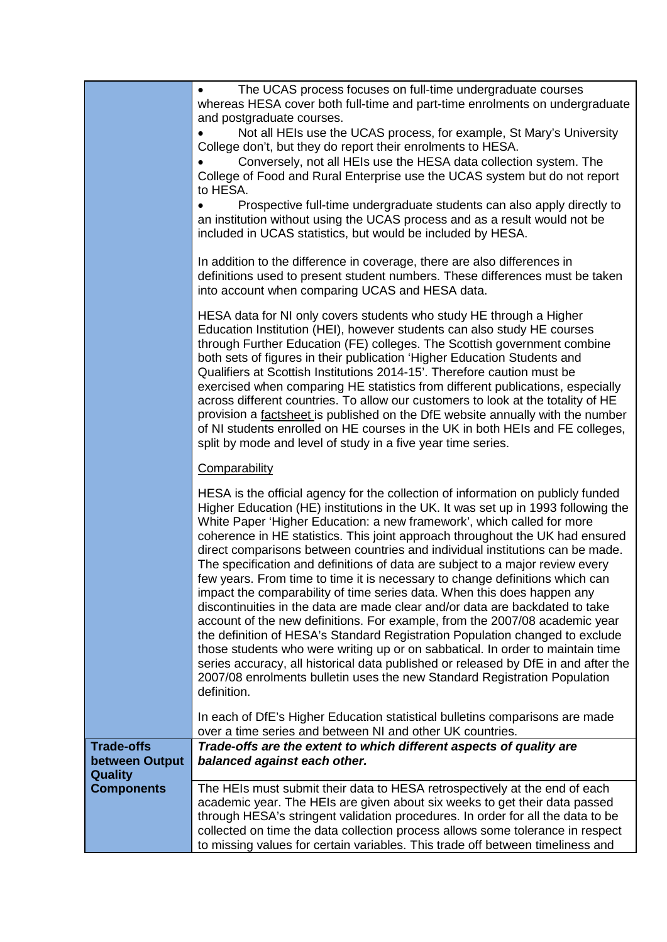|                                                       | The UCAS process focuses on full-time undergraduate courses<br>whereas HESA cover both full-time and part-time enrolments on undergraduate<br>and postgraduate courses.<br>Not all HEIs use the UCAS process, for example, St Mary's University<br>College don't, but they do report their enrolments to HESA.<br>Conversely, not all HEIs use the HESA data collection system. The<br>College of Food and Rural Enterprise use the UCAS system but do not report<br>to HESA.<br>Prospective full-time undergraduate students can also apply directly to<br>an institution without using the UCAS process and as a result would not be<br>included in UCAS statistics, but would be included by HESA.                                                                                                                                                                                                                                                                                                                                                                                                                                                                            |
|-------------------------------------------------------|----------------------------------------------------------------------------------------------------------------------------------------------------------------------------------------------------------------------------------------------------------------------------------------------------------------------------------------------------------------------------------------------------------------------------------------------------------------------------------------------------------------------------------------------------------------------------------------------------------------------------------------------------------------------------------------------------------------------------------------------------------------------------------------------------------------------------------------------------------------------------------------------------------------------------------------------------------------------------------------------------------------------------------------------------------------------------------------------------------------------------------------------------------------------------------|
|                                                       | In addition to the difference in coverage, there are also differences in<br>definitions used to present student numbers. These differences must be taken<br>into account when comparing UCAS and HESA data.                                                                                                                                                                                                                                                                                                                                                                                                                                                                                                                                                                                                                                                                                                                                                                                                                                                                                                                                                                      |
|                                                       | HESA data for NI only covers students who study HE through a Higher<br>Education Institution (HEI), however students can also study HE courses<br>through Further Education (FE) colleges. The Scottish government combine<br>both sets of figures in their publication 'Higher Education Students and<br>Qualifiers at Scottish Institutions 2014-15'. Therefore caution must be<br>exercised when comparing HE statistics from different publications, especially<br>across different countries. To allow our customers to look at the totality of HE<br>provision a factsheet is published on the DfE website annually with the number<br>of NI students enrolled on HE courses in the UK in both HEIs and FE colleges,<br>split by mode and level of study in a five year time series.                                                                                                                                                                                                                                                                                                                                                                                       |
|                                                       | Comparability                                                                                                                                                                                                                                                                                                                                                                                                                                                                                                                                                                                                                                                                                                                                                                                                                                                                                                                                                                                                                                                                                                                                                                    |
|                                                       | HESA is the official agency for the collection of information on publicly funded<br>Higher Education (HE) institutions in the UK. It was set up in 1993 following the<br>White Paper 'Higher Education: a new framework', which called for more<br>coherence in HE statistics. This joint approach throughout the UK had ensured<br>direct comparisons between countries and individual institutions can be made.<br>The specification and definitions of data are subject to a major review every<br>few years. From time to time it is necessary to change definitions which can<br>impact the comparability of time series data. When this does happen any<br>discontinuities in the data are made clear and/or data are backdated to take<br>account of the new definitions. For example, from the 2007/08 academic year<br>the definition of HESA's Standard Registration Population changed to exclude<br>those students who were writing up or on sabbatical. In order to maintain time<br>series accuracy, all historical data published or released by DfE in and after the<br>2007/08 enrolments bulletin uses the new Standard Registration Population<br>definition. |
|                                                       | In each of DfE's Higher Education statistical bulletins comparisons are made<br>over a time series and between NI and other UK countries.                                                                                                                                                                                                                                                                                                                                                                                                                                                                                                                                                                                                                                                                                                                                                                                                                                                                                                                                                                                                                                        |
| <b>Trade-offs</b><br>between Output<br><b>Quality</b> | Trade-offs are the extent to which different aspects of quality are<br>balanced against each other.                                                                                                                                                                                                                                                                                                                                                                                                                                                                                                                                                                                                                                                                                                                                                                                                                                                                                                                                                                                                                                                                              |
| <b>Components</b>                                     | The HEIs must submit their data to HESA retrospectively at the end of each<br>academic year. The HEIs are given about six weeks to get their data passed<br>through HESA's stringent validation procedures. In order for all the data to be<br>collected on time the data collection process allows some tolerance in respect<br>to missing values for certain variables. This trade off between timeliness and                                                                                                                                                                                                                                                                                                                                                                                                                                                                                                                                                                                                                                                                                                                                                                  |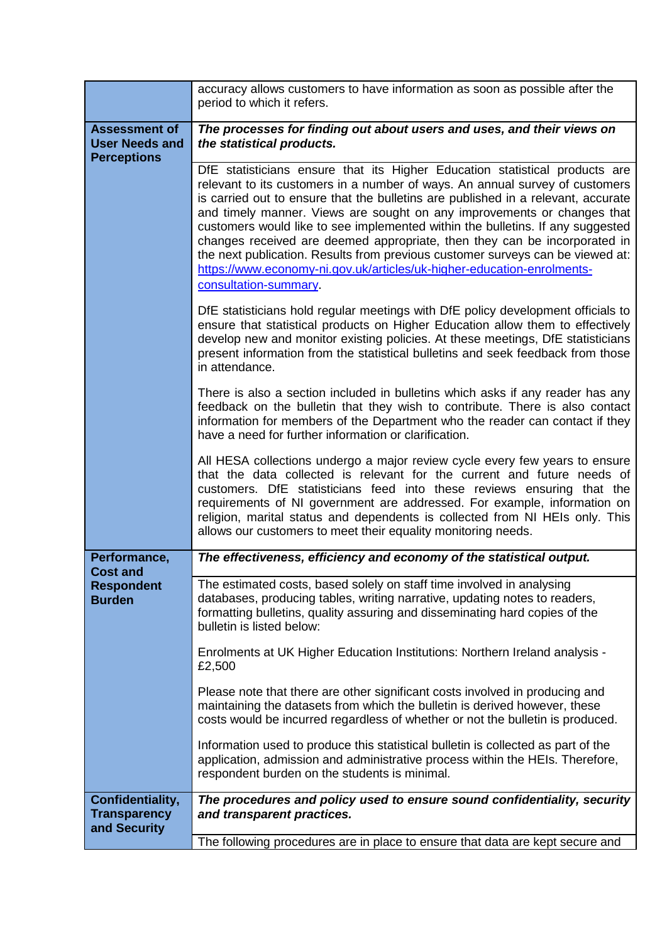|                                                                     | accuracy allows customers to have information as soon as possible after the<br>period to which it refers.                                                                                                                                                                                                                                                                                                                                                                                                                                                                                                                                                                       |
|---------------------------------------------------------------------|---------------------------------------------------------------------------------------------------------------------------------------------------------------------------------------------------------------------------------------------------------------------------------------------------------------------------------------------------------------------------------------------------------------------------------------------------------------------------------------------------------------------------------------------------------------------------------------------------------------------------------------------------------------------------------|
| <b>Assessment of</b><br><b>User Needs and</b><br><b>Perceptions</b> | The processes for finding out about users and uses, and their views on<br>the statistical products.                                                                                                                                                                                                                                                                                                                                                                                                                                                                                                                                                                             |
|                                                                     | DfE statisticians ensure that its Higher Education statistical products are<br>relevant to its customers in a number of ways. An annual survey of customers<br>is carried out to ensure that the bulletins are published in a relevant, accurate<br>and timely manner. Views are sought on any improvements or changes that<br>customers would like to see implemented within the bulletins. If any suggested<br>changes received are deemed appropriate, then they can be incorporated in<br>the next publication. Results from previous customer surveys can be viewed at:<br>https://www.economy-ni.gov.uk/articles/uk-higher-education-enrolments-<br>consultation-summary. |
|                                                                     |                                                                                                                                                                                                                                                                                                                                                                                                                                                                                                                                                                                                                                                                                 |
|                                                                     | DfE statisticians hold regular meetings with DfE policy development officials to<br>ensure that statistical products on Higher Education allow them to effectively<br>develop new and monitor existing policies. At these meetings, DfE statisticians<br>present information from the statistical bulletins and seek feedback from those<br>in attendance.                                                                                                                                                                                                                                                                                                                      |
|                                                                     | There is also a section included in bulletins which asks if any reader has any<br>feedback on the bulletin that they wish to contribute. There is also contact<br>information for members of the Department who the reader can contact if they<br>have a need for further information or clarification.                                                                                                                                                                                                                                                                                                                                                                         |
|                                                                     | All HESA collections undergo a major review cycle every few years to ensure<br>that the data collected is relevant for the current and future needs of<br>customers. DfE statisticians feed into these reviews ensuring that the<br>requirements of NI government are addressed. For example, information on<br>religion, marital status and dependents is collected from NI HEIs only. This<br>allows our customers to meet their equality monitoring needs.                                                                                                                                                                                                                   |
| Performance,                                                        | The effectiveness, efficiency and economy of the statistical output.                                                                                                                                                                                                                                                                                                                                                                                                                                                                                                                                                                                                            |
| <b>Cost and</b><br><b>Respondent</b><br><b>Burden</b>               | The estimated costs, based solely on staff time involved in analysing<br>databases, producing tables, writing narrative, updating notes to readers,<br>formatting bulletins, quality assuring and disseminating hard copies of the<br>bulletin is listed below:                                                                                                                                                                                                                                                                                                                                                                                                                 |
|                                                                     | Enrolments at UK Higher Education Institutions: Northern Ireland analysis -<br>£2,500                                                                                                                                                                                                                                                                                                                                                                                                                                                                                                                                                                                           |
|                                                                     | Please note that there are other significant costs involved in producing and<br>maintaining the datasets from which the bulletin is derived however, these<br>costs would be incurred regardless of whether or not the bulletin is produced.                                                                                                                                                                                                                                                                                                                                                                                                                                    |
|                                                                     | Information used to produce this statistical bulletin is collected as part of the<br>application, admission and administrative process within the HEIs. Therefore,<br>respondent burden on the students is minimal.                                                                                                                                                                                                                                                                                                                                                                                                                                                             |
| Confidentiality,<br><b>Transparency</b><br>and Security             | The procedures and policy used to ensure sound confidentiality, security<br>and transparent practices.                                                                                                                                                                                                                                                                                                                                                                                                                                                                                                                                                                          |
|                                                                     | The following procedures are in place to ensure that data are kept secure and                                                                                                                                                                                                                                                                                                                                                                                                                                                                                                                                                                                                   |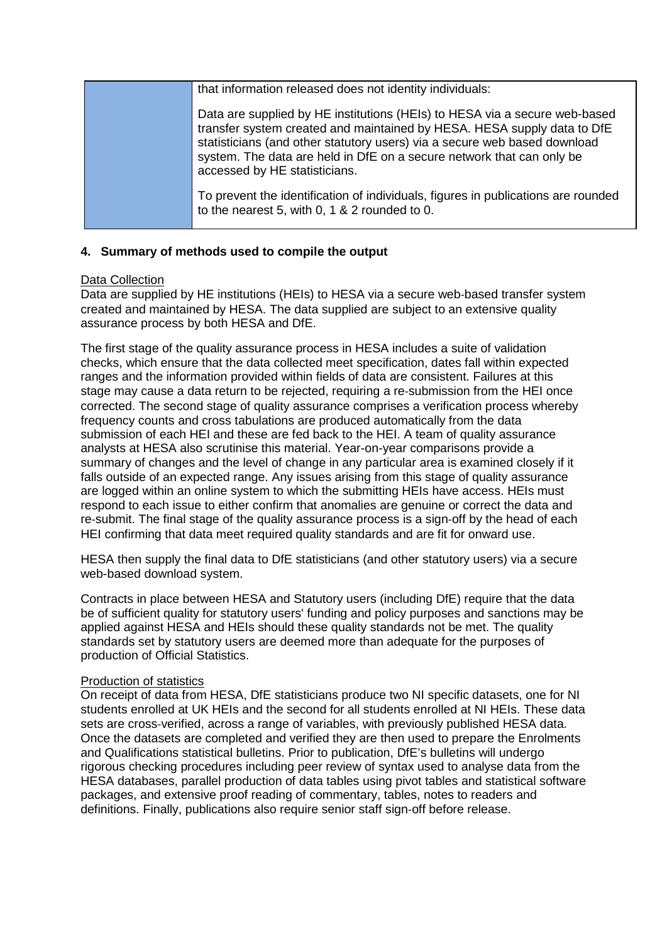| that information released does not identity individuals:                                                                                                                                                                                                                                                                                     |
|----------------------------------------------------------------------------------------------------------------------------------------------------------------------------------------------------------------------------------------------------------------------------------------------------------------------------------------------|
| Data are supplied by HE institutions (HEIs) to HESA via a secure web-based<br>transfer system created and maintained by HESA. HESA supply data to DfE<br>statisticians (and other statutory users) via a secure web based download<br>system. The data are held in DfE on a secure network that can only be<br>accessed by HE statisticians. |
| To prevent the identification of individuals, figures in publications are rounded<br>to the nearest 5, with 0, 1 & 2 rounded to 0.                                                                                                                                                                                                           |

## **4. Summary of methods used to compile the output**

## Data Collection

Data are supplied by HE institutions (HEIs) to HESA via a secure web-based transfer system created and maintained by HESA. The data supplied are subject to an extensive quality assurance process by both HESA and DfE.

The first stage of the quality assurance process in HESA includes a suite of validation checks, which ensure that the data collected meet specification, dates fall within expected ranges and the information provided within fields of data are consistent. Failures at this stage may cause a data return to be rejected, requiring a re-submission from the HEI once corrected. The second stage of quality assurance comprises a verification process whereby frequency counts and cross tabulations are produced automatically from the data submission of each HEI and these are fed back to the HEI. A team of quality assurance analysts at HESA also scrutinise this material. Year-on-year comparisons provide a summary of changes and the level of change in any particular area is examined closely if it falls outside of an expected range. Any issues arising from this stage of quality assurance are logged within an online system to which the submitting HEIs have access. HEIs must respond to each issue to either confirm that anomalies are genuine or correct the data and re-submit. The final stage of the quality assurance process is a sign-off by the head of each HEI confirming that data meet required quality standards and are fit for onward use.

HESA then supply the final data to DfE statisticians (and other statutory users) via a secure web-based download system.

Contracts in place between HESA and Statutory users (including DfE) require that the data be of sufficient quality for statutory users' funding and policy purposes and sanctions may be applied against HESA and HEIs should these quality standards not be met. The quality standards set by statutory users are deemed more than adequate for the purposes of production of Official Statistics.

## Production of statistics

On receipt of data from HESA, DfE statisticians produce two NI specific datasets, one for NI students enrolled at UK HEIs and the second for all students enrolled at NI HEIs. These data sets are cross‐verified, across a range of variables, with previously published HESA data. Once the datasets are completed and verified they are then used to prepare the Enrolments and Qualifications statistical bulletins. Prior to publication, DfE's bulletins will undergo rigorous checking procedures including peer review of syntax used to analyse data from the HESA databases, parallel production of data tables using pivot tables and statistical software packages, and extensive proof reading of commentary, tables, notes to readers and definitions. Finally, publications also require senior staff sign-off before release.